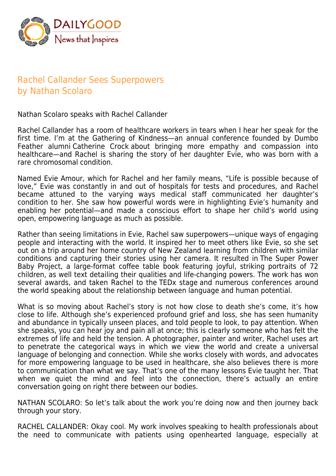

## Rachel Callander Sees Superpowers by Nathan Scolaro

Nathan Scolaro speaks with Rachel Callander

Rachel Callander has a room of healthcare workers in tears when I hear her speak for the first time. I'm at the Gathering of Kindness—an annual conference founded by Dumbo Feather alumni Catherine Crock about bringing more empathy and compassion into healthcare—and Rachel is sharing the story of her daughter Evie, who was born with a rare chromosomal condition.

Named Evie Amour, which for Rachel and her family means, "Life is possible because of love," Evie was constantly in and out of hospitals for tests and procedures, and Rachel became attuned to the varying ways medical staff communicated her daughter's condition to her. She saw how powerful words were in highlighting Evie's humanity and enabling her potential—and made a conscious effort to shape her child's world using open, empowering language as much as possible.

Rather than seeing limitations in Evie, Rachel saw superpowers—unique ways of engaging people and interacting with the world. It inspired her to meet others like Evie, so she set out on a trip around her home country of New Zealand learning from children with similar conditions and capturing their stories using her camera. It resulted in The Super Power Baby Project, a large-format coffee table book featuring joyful, striking portraits of 72 children, as well text detailing their qualities and life-changing powers. The work has won several awards, and taken Rachel to the TEDx stage and numerous conferences around the world speaking about the relationship between language and human potential.

What is so moving about Rachel's story is not how close to death she's come, it's how close to life. Although she's experienced profound grief and loss, she has seen humanity and abundance in typically unseen places, and told people to look, to pay attention. When she speaks, you can hear joy and pain all at once; this is clearly someone who has felt the extremes of life and held the tension. A photographer, painter and writer, Rachel uses art to penetrate the categorical ways in which we view the world and create a universal language of belonging and connection. While she works closely with words, and advocates for more empowering language to be used in healthcare, she also believes there is more to communication than what we say. That's one of the many lessons Evie taught her. That when we quiet the mind and feel into the connection, there's actually an entire conversation going on right there between our bodies.

NATHAN SCOLARO: So let's talk about the work you're doing now and then journey back through your story.

RACHEL CALLANDER: Okay cool. My work involves speaking to health professionals about the need to communicate with patients using openhearted language, especially at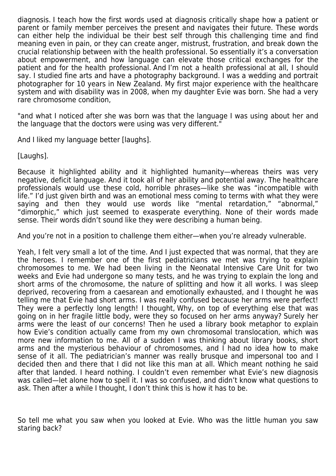diagnosis. I teach how the first words used at diagnosis critically shape how a patient or parent or family member perceives the present and navigates their future. These words can either help the individual be their best self through this challenging time and find meaning even in pain, or they can create anger, mistrust, frustration, and break down the crucial relationship between with the health professional. So essentially it's a conversation about empowerment, and how language can elevate those critical exchanges for the patient and for the health professional. And I'm not a health professional at all, I should say. I studied fine arts and have a photography background. I was a wedding and portrait photographer for 10 years in New Zealand. My first major experience with the healthcare system and with disability was in 2008, when my daughter Evie was born. She had a very rare chromosome condition,

"and what I noticed after she was born was that the language I was using about her and the language that the doctors were using was very different."

And I liked my language better [laughs].

[Laughs].

Because it highlighted ability and it highlighted humanity—whereas theirs was very negative, deficit language. And it took all of her ability and potential away. The healthcare professionals would use these cold, horrible phrases—like she was "incompatible with life." I'd just given birth and was an emotional mess coming to terms with what they were saying and then they would use words like "mental retardation," "abnormal," "dimorphic," which just seemed to exasperate everything. None of their words made sense. Their words didn't sound like they were describing a human being.

And you're not in a position to challenge them either—when you're already vulnerable.

Yeah, I felt very small a lot of the time. And I just expected that was normal, that they are the heroes. I remember one of the first pediatricians we met was trying to explain chromosomes to me. We had been living in the Neonatal Intensive Care Unit for two weeks and Evie had undergone so many tests, and he was trying to explain the long and short arms of the chromosome, the nature of splitting and how it all works. I was sleep deprived, recovering from a caesarean and emotionally exhausted, and I thought he was telling me that Evie had short arms. I was really confused because her arms were perfect! They were a perfectly long length! I thought, Why, on top of everything else that was going on in her fragile little body, were they so focused on her arms anyway? Surely her arms were the least of our concerns! Then he used a library book metaphor to explain how Evie's condition actually came from my own chromosomal translocation, which was more new information to me. All of a sudden I was thinking about library books, short arms and the mysterious behaviour of chromosomes, and I had no idea how to make sense of it all. The pediatrician's manner was really brusque and impersonal too and I decided then and there that I did not like this man at all. Which meant nothing he said after that landed. I heard nothing. I couldn't even remember what Evie's new diagnosis was called—let alone how to spell it. I was so confused, and didn't know what questions to ask. Then after a while I thought, I don't think this is how it has to be.

So tell me what you saw when you looked at Evie. Who was the little human you saw staring back?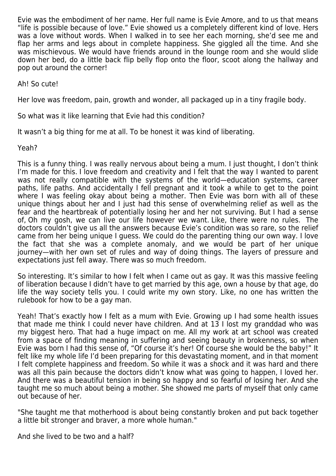Evie was the embodiment of her name. Her full name is Evie Amore, and to us that means "life is possible because of love." Evie showed us a completely different kind of love. Hers was a love without words. When I walked in to see her each morning, she'd see me and flap her arms and legs about in complete happiness. She giggled all the time. And she was mischievous. We would have friends around in the lounge room and she would slide down her bed, do a little back flip belly flop onto the floor, scoot along the hallway and pop out around the corner!

Ah! So cute!

Her love was freedom, pain, growth and wonder, all packaged up in a tiny fragile body.

So what was it like learning that Evie had this condition?

It wasn't a big thing for me at all. To be honest it was kind of liberating.

Yeah?

This is a funny thing. I was really nervous about being a mum. I just thought, I don't think I'm made for this. I love freedom and creativity and I felt that the way I wanted to parent was not really compatible with the systems of the world—education systems, career paths, life paths. And accidentally I fell pregnant and it took a while to get to the point where I was feeling okay about being a mother. Then Evie was born with all of these unique things about her and I just had this sense of overwhelming relief as well as the fear and the heartbreak of potentially losing her and her not surviving. But I had a sense of, Oh my gosh, we can live our life however we want. Like, there were no rules. The doctors couldn't give us all the answers because Evie's condition was so rare, so the relief came from her being unique I guess. We could do the parenting thing our own way. I love the fact that she was a complete anomaly, and we would be part of her unique journey—with her own set of rules and way of doing things. The layers of pressure and expectations just fell away. There was so much freedom.

So interesting. It's similar to how I felt when I came out as gay. It was this massive feeling of liberation because I didn't have to get married by this age, own a house by that age, do life the way society tells you. I could write my own story. Like, no one has written the rulebook for how to be a gay man.

Yeah! That's exactly how I felt as a mum with Evie. Growing up I had some health issues that made me think I could never have children. And at 13 I lost my granddad who was my biggest hero. That had a huge impact on me. All my work at art school was created from a space of finding meaning in suffering and seeing beauty in brokenness, so when Evie was born I had this sense of, "Of course it's her! Of course she would be the baby!" It felt like my whole life I'd been preparing for this devastating moment, and in that moment I felt complete happiness and freedom. So while it was a shock and it was hard and there was all this pain because the doctors didn't know what was going to happen, I loved her. And there was a beautiful tension in being so happy and so fearful of losing her. And she taught me so much about being a mother. She showed me parts of myself that only came out because of her.

"She taught me that motherhood is about being constantly broken and put back together a little bit stronger and braver, a more whole human."

And she lived to be two and a half?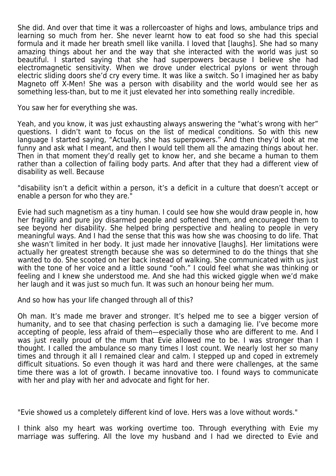She did. And over that time it was a rollercoaster of highs and lows, ambulance trips and learning so much from her. She never learnt how to eat food so she had this special formula and it made her breath smell like vanilla. I loved that [laughs]. She had so many amazing things about her and the way that she interacted with the world was just so beautiful. I started saying that she had superpowers because I believe she had electromagnetic sensitivity. When we drove under electrical pylons or went through electric sliding doors she'd cry every time. It was like a switch. So I imagined her as baby Magneto off X-Men! She was a person with disability and the world would see her as something less-than, but to me it just elevated her into something really incredible.

You saw her for everything she was.

Yeah, and you know, it was just exhausting always answering the "what's wrong with her" questions. I didn't want to focus on the list of medical conditions. So with this new language I started saying, "Actually, she has superpowers." And then they'd look at me funny and ask what I meant, and then I would tell them all the amazing things about her. Then in that moment they'd really get to know her, and she became a human to them rather than a collection of failing body parts. And after that they had a different view of disability as well. Because

"disability isn't a deficit within a person, it's a deficit in a culture that doesn't accept or enable a person for who they are."

Evie had such magnetism as a tiny human. I could see how she would draw people in, how her fragility and pure joy disarmed people and softened them, and encouraged them to see beyond her disability. She helped bring perspective and healing to people in very meaningful ways. And I had the sense that this was how she was choosing to do life. That she wasn't limited in her body. It just made her innovative [laughs]. Her limitations were actually her greatest strength because she was so determined to do the things that she wanted to do. She scooted on her back instead of walking. She communicated with us just with the tone of her voice and a little sound "ooh." I could feel what she was thinking or feeling and I knew she understood me. And she had this wicked giggle when we'd make her laugh and it was just so much fun. It was such an honour being her mum.

And so how has your life changed through all of this?

Oh man. It's made me braver and stronger. It's helped me to see a bigger version of humanity, and to see that chasing perfection is such a damaging lie. I've become more accepting of people, less afraid of them—especially those who are different to me. And I was just really proud of the mum that Evie allowed me to be. I was stronger than I thought. I called the ambulance so many times I lost count. We nearly lost her so many times and through it all I remained clear and calm. I stepped up and coped in extremely difficult situations. So even though it was hard and there were challenges, at the same time there was a lot of growth. I became innovative too. I found ways to communicate with her and play with her and advocate and fight for her.

"Evie showed us a completely different kind of love. Hers was a love without words."

I think also my heart was working overtime too. Through everything with Evie my marriage was suffering. All the love my husband and I had we directed to Evie and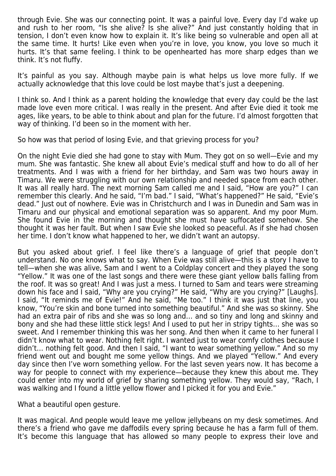through Evie. She was our connecting point. It was a painful love. Every day I'd wake up and rush to her room, "Is she alive? Is she alive?" And just constantly holding that in tension, I don't even know how to explain it. It's like being so vulnerable and open all at the same time. It hurts! Like even when you're in love, you know, you love so much it hurts. It's that same feeling. I think to be openhearted has more sharp edges than we think. It's not fluffy.

It's painful as you say. Although maybe pain is what helps us love more fully. If we actually acknowledge that this love could be lost maybe that's just a deepening.

I think so. And I think as a parent holding the knowledge that every day could be the last made love even more critical. I was really in the present. And after Evie died it took me ages, like years, to be able to think about and plan for the future. I'd almost forgotten that way of thinking. I'd been so in the moment with her.

So how was that period of losing Evie, and that grieving process for you?

On the night Evie died she had gone to stay with Mum. They got on so well—Evie and my mum. She was fantastic. She knew all about Evie's medical stuff and how to do all of her treatments. And I was with a friend for her birthday, and Sam was two hours away in Timaru. We were struggling with our own relationship and needed space from each other. It was all really hard. The next morning Sam called me and I said, "How are you?" I can remember this clearly. And he said, "I'm bad." I said, "What's happened?" He said, "Evie's dead." Just out of nowhere. Evie was in Christchurch and I was in Dunedin and Sam was in Timaru and our physical and emotional separation was so apparent. And my poor Mum. She found Evie in the morning and thought she must have suffocated somehow. She thought it was her fault. But when I saw Evie she looked so peaceful. As if she had chosen her time. I don't know what happened to her, we didn't want an autopsy.

But you asked about grief. I feel like there's a language of grief that people don't understand. No one knows what to say. When Evie was still alive—this is a story I have to tell—when she was alive, Sam and I went to a Coldplay concert and they played the song "Yellow." It was one of the last songs and there were these giant yellow balls falling from the roof. It was so great! And I was just a mess. I turned to Sam and tears were streaming down his face and I said, "Why are you crying?" He said, "Why are you crying?" [Laughs]. I said, "It reminds me of Evie!" And he said, "Me too." I think it was just that line, you know, "You're skin and bone turned into something beautiful." And she was so skinny. She had an extra pair of ribs and she was so long and… and so tiny and long and skinny and bony and she had these little stick legs! And I used to put her in stripy tights… she was so sweet. And I remember thinking this was her song. And then when it came to her funeral I didn't know what to wear. Nothing felt right. I wanted just to wear comfy clothes because I didn't… nothing felt good. And then I said, "I want to wear something yellow." And so my friend went out and bought me some yellow things. And we played "Yellow." And every day since then I've worn something yellow. For the last seven years now. It has become a way for people to connect with my experience—because they knew this about me. They could enter into my world of grief by sharing something yellow. They would say, "Rach, I was walking and I found a little yellow flower and I picked it for you and Evie."

What a beautiful open gesture.

It was magical. And people would leave me yellow jellybeans on my desk sometimes. And there's a friend who gave me daffodils every spring because he has a farm full of them. It's become this language that has allowed so many people to express their love and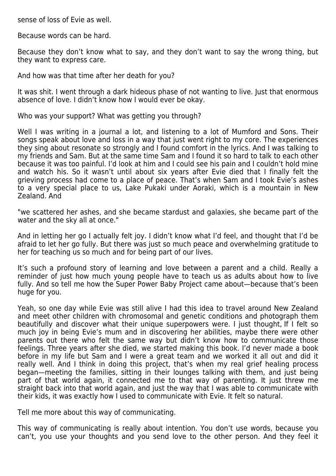sense of loss of Evie as well.

Because words can be hard.

Because they don't know what to say, and they don't want to say the wrong thing, but they want to express care.

And how was that time after her death for you?

It was shit. I went through a dark hideous phase of not wanting to live. Just that enormous absence of love. I didn't know how I would ever be okay.

Who was your support? What was getting you through?

Well I was writing in a journal a lot, and listening to a lot of Mumford and Sons. Their songs speak about love and loss in a way that just went right to my core. The experiences they sing about resonate so strongly and I found comfort in the lyrics. And I was talking to my friends and Sam. But at the same time Sam and I found it so hard to talk to each other because it was too painful. I'd look at him and I could see his pain and I couldn't hold mine and watch his. So it wasn't until about six years after Evie died that I finally felt the grieving process had come to a place of peace. That's when Sam and I took Evie's ashes to a very special place to us, Lake Pukaki under Aoraki, which is a mountain in New Zealand. And

"we scattered her ashes, and she became stardust and galaxies, she became part of the water and the sky all at once."

And in letting her go I actually felt joy. I didn't know what I'd feel, and thought that I'd be afraid to let her go fully. But there was just so much peace and overwhelming gratitude to her for teaching us so much and for being part of our lives.

It's such a profound story of learning and love between a parent and a child. Really a reminder of just how much young people have to teach us as adults about how to live fully. And so tell me how the Super Power Baby Project came about—because that's been huge for you.

Yeah, so one day while Evie was still alive I had this idea to travel around New Zealand and meet other children with chromosomal and genetic conditions and photograph them beautifully and discover what their unique superpowers were. I just thought, If I felt so much joy in being Evie's mum and in discovering her abilities, maybe there were other parents out there who felt the same way but didn't know how to communicate those feelings. Three years after she died, we started making this book. I'd never made a book before in my life but Sam and I were a great team and we worked it all out and did it really well. And I think in doing this project, that's when my real grief healing process began—meeting the families, sitting in their lounges talking with them, and just being part of that world again, it connected me to that way of parenting. It just threw me straight back into that world again, and just the way that I was able to communicate with their kids, it was exactly how I used to communicate with Evie. It felt so natural.

Tell me more about this way of communicating.

This way of communicating is really about intention. You don't use words, because you can't, you use your thoughts and you send love to the other person. And they feel it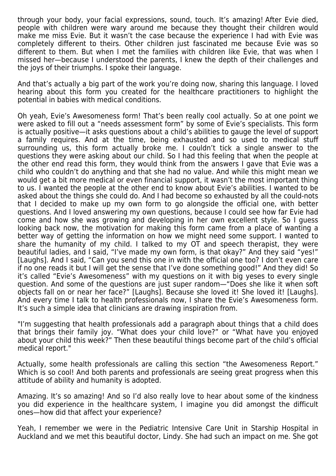through your body, your facial expressions, sound, touch. It's amazing! After Evie died, people with children were wary around me because they thought their children would make me miss Evie. But it wasn't the case because the experience I had with Evie was completely different to theirs. Other children just fascinated me because Evie was so different to them. But when I met the families with children like Evie, that was when I missed her—because I understood the parents, I knew the depth of their challenges and the joys of their triumphs. I spoke their language.

And that's actually a big part of the work you're doing now, sharing this language. I loved hearing about this form you created for the healthcare practitioners to highlight the potential in babies with medical conditions.

Oh yeah, Evie's Awesomeness form! That's been really cool actually. So at one point we were asked to fill out a "needs assessment form" by some of Evie's specialists. This form is actually positive—it asks questions about a child's abilities to gauge the level of support a family requires. And at the time, being exhausted and so used to medical stuff surrounding us, this form actually broke me. I couldn't tick a single answer to the questions they were asking about our child. So I had this feeling that when the people at the other end read this form, they would think from the answers I gave that Evie was a child who couldn't do anything and that she had no value. And while this might mean we would get a bit more medical or even financial support, it wasn't the most important thing to us. I wanted the people at the other end to know about Evie's abilities. I wanted to be asked about the things she could do. And I had become so exhausted by all the could-nots that I decided to make up my own form to go alongside the official one, with better questions. And I loved answering my own questions, because I could see how far Evie had come and how she was growing and developing in her own excellent style. So I guess looking back now, the motivation for making this form came from a place of wanting a better way of getting the information on how we might need some support. I wanted to share the humanity of my child. I talked to my OT and speech therapist, they were beautiful ladies, and I said, "I've made my own form, is that okay?" And they said "yes!" [Laughs]. And I said, "Can you send this one in with the official one too? I don't even care if no one reads it but I will get the sense that I've done something good!" And they did! So it's called "Evie's Awesomeness" with my questions on it with big yeses to every single question. And some of the questions are just super random—"Does she like it when soft objects fall on or near her face?" [Laughs]. Because she loved it! She loved it! [Laughs]. And every time I talk to health professionals now, I share the Evie's Awesomeness form. It's such a simple idea that clinicians are drawing inspiration from.

"I'm suggesting that health professionals add a paragraph about things that a child does that brings their family joy. "What does your child love?" or "What have you enjoyed about your child this week?" Then these beautiful things become part of the child's official medical report."

Actually, some health professionals are calling this section "the Awesomeness Report." Which is so cool! And both parents and professionals are seeing great progress when this attitude of ability and humanity is adopted.

Amazing. It's so amazing! And so I'd also really love to hear about some of the kindness you did experience in the healthcare system, I imagine you did amongst the difficult ones—how did that affect your experience?

Yeah, I remember we were in the Pediatric Intensive Care Unit in Starship Hospital in Auckland and we met this beautiful doctor, Lindy. She had such an impact on me. She got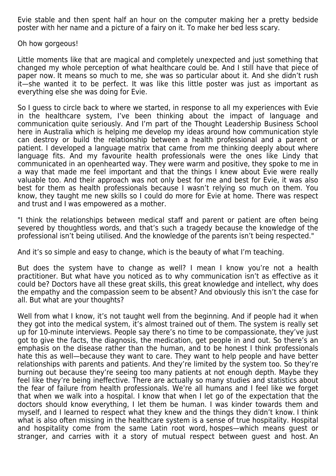Evie stable and then spent half an hour on the computer making her a pretty bedside poster with her name and a picture of a fairy on it. To make her bed less scary.

Oh how gorgeous!

Little moments like that are magical and completely unexpected and just something that changed my whole perception of what healthcare could be. And I still have that piece of paper now. It means so much to me, she was so particular about it. And she didn't rush it—she wanted it to be perfect. It was like this little poster was just as important as everything else she was doing for Evie.

So I guess to circle back to where we started, in response to all my experiences with Evie in the healthcare system, I've been thinking about the impact of language and communication quite seriously. And I'm part of the Thought Leadership Business School here in Australia which is helping me develop my ideas around how communication style can destroy or build the relationship between a health professional and a parent or patient. I developed a language matrix that came from me thinking deeply about where language fits. And my favourite health professionals were the ones like Lindy that communicated in an openhearted way. They were warm and positive, they spoke to me in a way that made me feel important and that the things I knew about Evie were really valuable too. And their approach was not only best for me and best for Evie, it was also best for them as health professionals because I wasn't relying so much on them. You know, they taught me new skills so I could do more for Evie at home. There was respect and trust and I was empowered as a mother.

"I think the relationships between medical staff and parent or patient are often being severed by thoughtless words, and that's such a tragedy because the knowledge of the professional isn't being utilised. And the knowledge of the parents isn't being respected."

And it's so simple and easy to change, which is the beauty of what I'm teaching.

But does the system have to change as well? I mean I know you're not a health practitioner. But what have you noticed as to why communication isn't as effective as it could be? Doctors have all these great skills, this great knowledge and intellect, why does the empathy and the compassion seem to be absent? And obviously this isn't the case for all. But what are your thoughts?

Well from what I know, it's not taught well from the beginning. And if people had it when they got into the medical system, it's almost trained out of them. The system is really set up for 10-minute interviews. People say there's no time to be compassionate, they've just got to give the facts, the diagnosis, the medication, get people in and out. So there's an emphasis on the disease rather than the human, and to be honest I think professionals hate this as well—because they want to care. They want to help people and have better relationships with parents and patients. And they're limited by the system too. So they're burning out because they're seeing too many patients at not enough depth. Maybe they feel like they're being ineffective. There are actually so many studies and statistics about the fear of failure from health professionals. We're all humans and I feel like we forget that when we walk into a hospital. I know that when I let go of the expectation that the doctors should know everything, I let them be human. I was kinder towards them and myself, and I learned to respect what they knew and the things they didn't know. I think what is also often missing in the healthcare system is a sense of true hospitality. Hospital and hospitality come from the same Latin root word, hospes—which means guest or stranger, and carries with it a story of mutual respect between guest and host. An